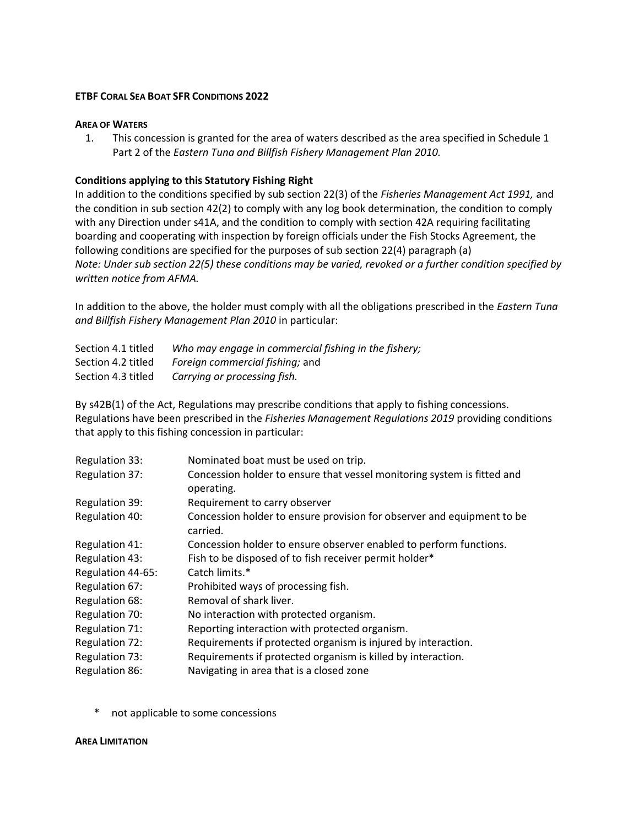## **ETBF CORAL SEA BOAT SFR CONDITIONS 2022**

### **AREA OF WATERS**

1. This concession is granted for the area of waters described as the area specified in Schedule 1 Part 2 of the *Eastern Tuna and Billfish Fishery Management Plan 2010.*

# **Conditions applying to this Statutory Fishing Right**

In addition to the conditions specified by sub section 22(3) of the *Fisheries Management Act 1991,* and the condition in sub section 42(2) to comply with any log book determination, the condition to comply with any Direction under s41A, and the condition to comply with section 42A requiring facilitating boarding and cooperating with inspection by foreign officials under the Fish Stocks Agreement, the following conditions are specified for the purposes of sub section 22(4) paragraph (a) *Note: Under sub section 22(5) these conditions may be varied, revoked or a further condition specified by written notice from AFMA.*

In addition to the above, the holder must comply with all the obligations prescribed in the *Eastern Tuna and Billfish Fishery Management Plan 2010* in particular:

| Section 4.1 titled | Who may engage in commercial fishing in the fishery; |
|--------------------|------------------------------------------------------|
| Section 4.2 titled | Foreign commercial fishing; and                      |
| Section 4.3 titled | Carrying or processing fish.                         |

By s42B(1) of the Act, Regulations may prescribe conditions that apply to fishing concessions. Regulations have been prescribed in the *Fisheries Management Regulations 2019* providing conditions that apply to this fishing concession in particular:

| Regulation 33:    | Nominated boat must be used on trip.                                                  |
|-------------------|---------------------------------------------------------------------------------------|
| Regulation 37:    | Concession holder to ensure that vessel monitoring system is fitted and<br>operating. |
| Regulation 39:    | Requirement to carry observer                                                         |
| Regulation 40:    | Concession holder to ensure provision for observer and equipment to be<br>carried.    |
| Regulation 41:    | Concession holder to ensure observer enabled to perform functions.                    |
| Regulation 43:    | Fish to be disposed of to fish receiver permit holder*                                |
| Regulation 44-65: | Catch limits.*                                                                        |
| Regulation 67:    | Prohibited ways of processing fish.                                                   |
| Regulation 68:    | Removal of shark liver.                                                               |
| Regulation 70:    | No interaction with protected organism.                                               |
| Regulation 71:    | Reporting interaction with protected organism.                                        |
| Regulation 72:    | Requirements if protected organism is injured by interaction.                         |
| Regulation 73:    | Requirements if protected organism is killed by interaction.                          |
| Regulation 86:    | Navigating in area that is a closed zone                                              |

not applicable to some concessions

#### **AREA LIMITATION**